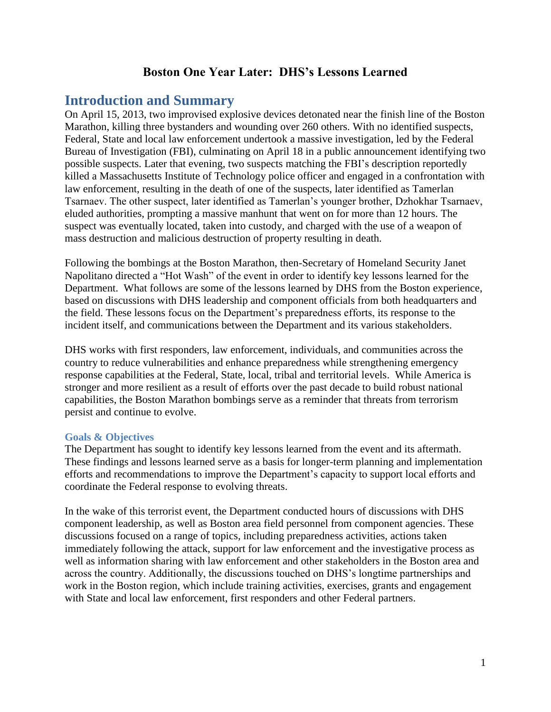# **Boston One Year Later: DHS's Lessons Learned**

# **Introduction and Summary**

On April 15, 2013, two improvised explosive devices detonated near the finish line of the Boston Marathon, killing three bystanders and wounding over 260 others. With no identified suspects, Federal, State and local law enforcement undertook a massive investigation, led by the Federal Bureau of Investigation (FBI), culminating on April 18 in a public announcement identifying two possible suspects. Later that evening, two suspects matching the FBI's description reportedly killed a Massachusetts Institute of Technology police officer and engaged in a confrontation with law enforcement, resulting in the death of one of the suspects, later identified as Tamerlan Tsarnaev. The other suspect, later identified as Tamerlan's younger brother, Dzhokhar Tsarnaev, eluded authorities, prompting a massive manhunt that went on for more than 12 hours. The suspect was eventually located, taken into custody, and charged with the use of a weapon of mass destruction and malicious destruction of property resulting in death.

Following the bombings at the Boston Marathon, then-Secretary of Homeland Security Janet Napolitano directed a "Hot Wash" of the event in order to identify key lessons learned for the Department. What follows are some of the lessons learned by DHS from the Boston experience, based on discussions with DHS leadership and component officials from both headquarters and the field. These lessons focus on the Department's preparedness efforts, its response to the incident itself, and communications between the Department and its various stakeholders.

DHS works with first responders, law enforcement, individuals, and communities across the country to reduce vulnerabilities and enhance preparedness while strengthening emergency response capabilities at the Federal, State, local, tribal and territorial levels. While America is stronger and more resilient as a result of efforts over the past decade to build robust national capabilities, the Boston Marathon bombings serve as a reminder that threats from terrorism persist and continue to evolve.

### **Goals & Objectives**

The Department has sought to identify key lessons learned from the event and its aftermath. These findings and lessons learned serve as a basis for longer-term planning and implementation efforts and recommendations to improve the Department's capacity to support local efforts and coordinate the Federal response to evolving threats.

In the wake of this terrorist event, the Department conducted hours of discussions with DHS component leadership, as well as Boston area field personnel from component agencies. These discussions focused on a range of topics, including preparedness activities, actions taken immediately following the attack, support for law enforcement and the investigative process as well as information sharing with law enforcement and other stakeholders in the Boston area and across the country. Additionally, the discussions touched on DHS's longtime partnerships and work in the Boston region, which include training activities, exercises, grants and engagement with State and local law enforcement, first responders and other Federal partners.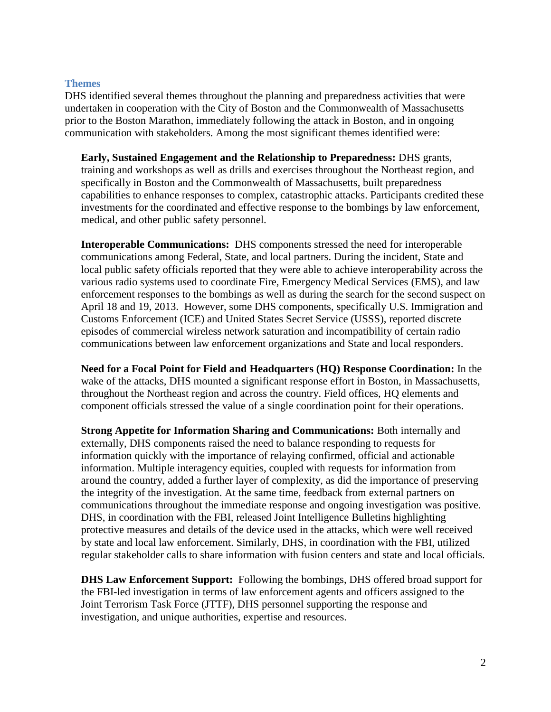#### **Themes**

DHS identified several themes throughout the planning and preparedness activities that were undertaken in cooperation with the City of Boston and the Commonwealth of Massachusetts prior to the Boston Marathon, immediately following the attack in Boston, and in ongoing communication with stakeholders. Among the most significant themes identified were:

**Early, Sustained Engagement and the Relationship to Preparedness:** DHS grants, training and workshops as well as drills and exercises throughout the Northeast region, and specifically in Boston and the Commonwealth of Massachusetts, built preparedness capabilities to enhance responses to complex, catastrophic attacks. Participants credited these investments for the coordinated and effective response to the bombings by law enforcement, medical, and other public safety personnel.

**Interoperable Communications:** DHS components stressed the need for interoperable communications among Federal, State, and local partners. During the incident, State and local public safety officials reported that they were able to achieve interoperability across the various radio systems used to coordinate Fire, Emergency Medical Services (EMS), and law enforcement responses to the bombings as well as during the search for the second suspect on April 18 and 19, 2013. However, some DHS components, specifically U.S. Immigration and Customs Enforcement (ICE) and United States Secret Service (USSS), reported discrete episodes of commercial wireless network saturation and incompatibility of certain radio communications between law enforcement organizations and State and local responders.

**Need for a Focal Point for Field and Headquarters (HQ) Response Coordination:** In the wake of the attacks, DHS mounted a significant response effort in Boston, in Massachusetts, throughout the Northeast region and across the country. Field offices, HQ elements and component officials stressed the value of a single coordination point for their operations.

**Strong Appetite for Information Sharing and Communications:** Both internally and externally, DHS components raised the need to balance responding to requests for information quickly with the importance of relaying confirmed, official and actionable information. Multiple interagency equities, coupled with requests for information from around the country, added a further layer of complexity, as did the importance of preserving the integrity of the investigation. At the same time, feedback from external partners on communications throughout the immediate response and ongoing investigation was positive. DHS, in coordination with the FBI, released Joint Intelligence Bulletins highlighting protective measures and details of the device used in the attacks, which were well received by state and local law enforcement. Similarly, DHS, in coordination with the FBI, utilized regular stakeholder calls to share information with fusion centers and state and local officials.

**DHS Law Enforcement Support:** Following the bombings, DHS offered broad support for the FBI-led investigation in terms of law enforcement agents and officers assigned to the Joint Terrorism Task Force (JTTF), DHS personnel supporting the response and investigation, and unique authorities, expertise and resources.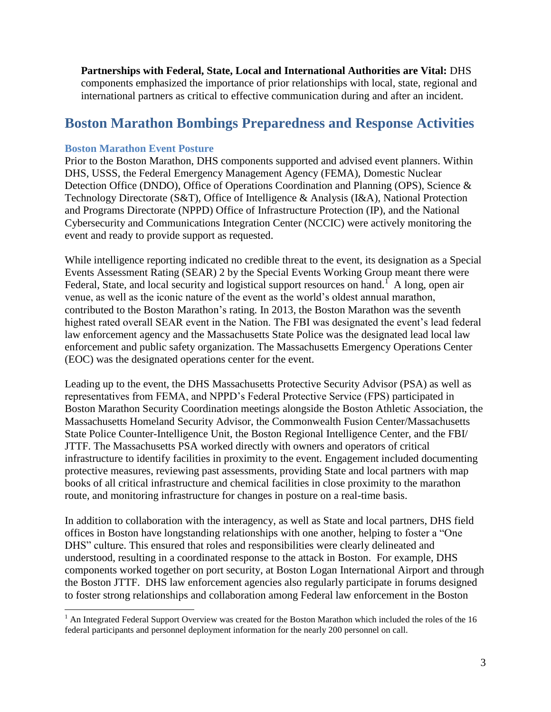**Partnerships with Federal, State, Local and International Authorities are Vital:** DHS components emphasized the importance of prior relationships with local, state, regional and international partners as critical to effective communication during and after an incident.

# **Boston Marathon Bombings Preparedness and Response Activities**

## **Boston Marathon Event Posture**

Prior to the Boston Marathon, DHS components supported and advised event planners. Within DHS, USSS, the Federal Emergency Management Agency (FEMA), Domestic Nuclear Detection Office (DNDO), Office of Operations Coordination and Planning (OPS), Science & Technology Directorate (S&T), Office of Intelligence & Analysis (I&A), National Protection and Programs Directorate (NPPD) Office of Infrastructure Protection (IP), and the National Cybersecurity and Communications Integration Center (NCCIC) were actively monitoring the event and ready to provide support as requested.

While intelligence reporting indicated no credible threat to the event, its designation as a Special Events Assessment Rating (SEAR) 2 by the Special Events Working Group meant there were Federal, State, and local security and logistical support resources on hand.<sup>1</sup> A long, open air venue, as well as the iconic nature of the event as the world's oldest annual marathon, contributed to the Boston Marathon's rating. In 2013, the Boston Marathon was the seventh highest rated overall SEAR event in the Nation. The FBI was designated the event's lead federal law enforcement agency and the Massachusetts State Police was the designated lead local law enforcement and public safety organization. The Massachusetts Emergency Operations Center (EOC) was the designated operations center for the event.

Leading up to the event, the DHS Massachusetts Protective Security Advisor (PSA) as well as representatives from FEMA, and NPPD's Federal Protective Service (FPS) participated in Boston Marathon Security Coordination meetings alongside the Boston Athletic Association, the Massachusetts Homeland Security Advisor, the Commonwealth Fusion Center/Massachusetts State Police Counter-Intelligence Unit, the Boston Regional Intelligence Center, and the FBI/ JTTF. The Massachusetts PSA worked directly with owners and operators of critical infrastructure to identify facilities in proximity to the event. Engagement included documenting protective measures, reviewing past assessments, providing State and local partners with map books of all critical infrastructure and chemical facilities in close proximity to the marathon route, and monitoring infrastructure for changes in posture on a real-time basis.

In addition to collaboration with the interagency, as well as State and local partners, DHS field offices in Boston have longstanding relationships with one another, helping to foster a "One DHS" culture. This ensured that roles and responsibilities were clearly delineated and understood, resulting in a coordinated response to the attack in Boston. For example, DHS components worked together on port security, at Boston Logan International Airport and through the Boston JTTF. DHS law enforcement agencies also regularly participate in forums designed to foster strong relationships and collaboration among Federal law enforcement in the Boston

l  $1$  An Integrated Federal Support Overview was created for the Boston Marathon which included the roles of the 16 federal participants and personnel deployment information for the nearly 200 personnel on call.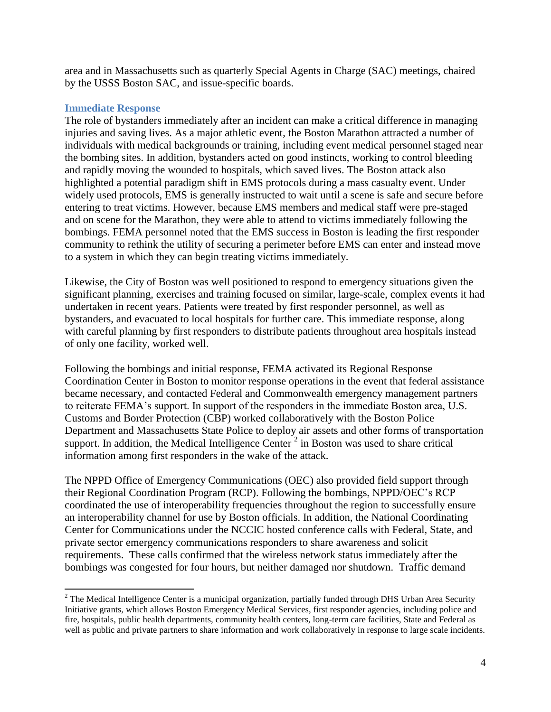area and in Massachusetts such as quarterly Special Agents in Charge (SAC) meetings, chaired by the USSS Boston SAC, and issue-specific boards.

### **Immediate Response**

 $\overline{\phantom{a}}$ 

The role of bystanders immediately after an incident can make a critical difference in managing injuries and saving lives. As a major athletic event, the Boston Marathon attracted a number of individuals with medical backgrounds or training, including event medical personnel staged near the bombing sites. In addition, bystanders acted on good instincts, working to control bleeding and rapidly moving the wounded to hospitals, which saved lives. The Boston attack also highlighted a potential paradigm shift in EMS protocols during a mass casualty event. Under widely used protocols, EMS is generally instructed to wait until a scene is safe and secure before entering to treat victims. However, because EMS members and medical staff were pre-staged and on scene for the Marathon, they were able to attend to victims immediately following the bombings. FEMA personnel noted that the EMS success in Boston is leading the first responder community to rethink the utility of securing a perimeter before EMS can enter and instead move to a system in which they can begin treating victims immediately.

Likewise, the City of Boston was well positioned to respond to emergency situations given the significant planning, exercises and training focused on similar, large-scale, complex events it had undertaken in recent years. Patients were treated by first responder personnel, as well as bystanders, and evacuated to local hospitals for further care. This immediate response, along with careful planning by first responders to distribute patients throughout area hospitals instead of only one facility, worked well.

Following the bombings and initial response, FEMA activated its Regional Response Coordination Center in Boston to monitor response operations in the event that federal assistance became necessary, and contacted Federal and Commonwealth emergency management partners to reiterate FEMA's support. In support of the responders in the immediate Boston area, U.S. Customs and Border Protection (CBP) worked collaboratively with the Boston Police Department and Massachusetts State Police to deploy air assets and other forms of transportation support. In addition, the Medical Intelligence Center<sup>2</sup> in Boston was used to share critical information among first responders in the wake of the attack.

The NPPD Office of Emergency Communications (OEC) also provided field support through their Regional Coordination Program (RCP). Following the bombings, NPPD/OEC's RCP coordinated the use of interoperability frequencies throughout the region to successfully ensure an interoperability channel for use by Boston officials. In addition, the National Coordinating Center for Communications under the NCCIC hosted conference calls with Federal, State, and private sector emergency communications responders to share awareness and solicit requirements. These calls confirmed that the wireless network status immediately after the bombings was congested for four hours, but neither damaged nor shutdown. Traffic demand

<sup>&</sup>lt;sup>2</sup> The Medical Intelligence Center is a municipal organization, partially funded through DHS Urban Area Security Initiative grants, which allows Boston Emergency Medical Services, first responder agencies, including police and fire, hospitals, public health departments, community health centers, long-term care facilities, State and Federal as well as public and private partners to share information and work collaboratively in response to large scale incidents.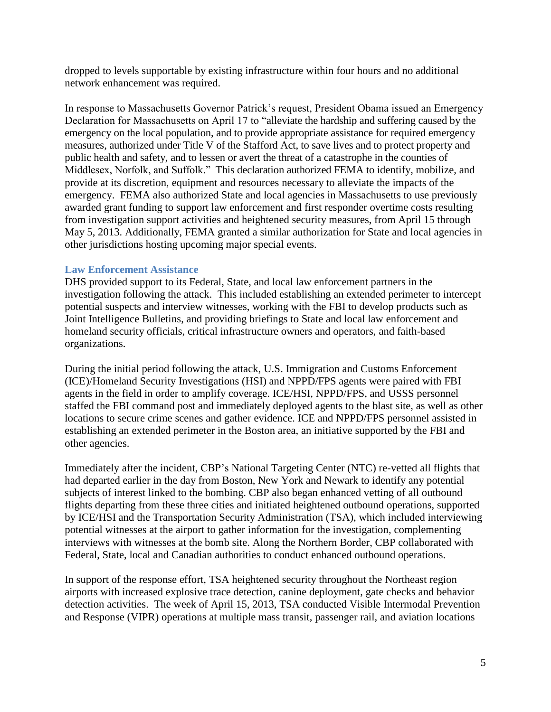dropped to levels supportable by existing infrastructure within four hours and no additional network enhancement was required.

In response to Massachusetts Governor Patrick's request, President Obama issued an Emergency Declaration for Massachusetts on April 17 to "alleviate the hardship and suffering caused by the emergency on the local population, and to provide appropriate assistance for required emergency measures, authorized under Title V of the Stafford Act, to save lives and to protect property and public health and safety, and to lessen or avert the threat of a catastrophe in the counties of Middlesex, Norfolk, and Suffolk." This declaration authorized FEMA to identify, mobilize, and provide at its discretion, equipment and resources necessary to alleviate the impacts of the emergency. FEMA also authorized State and local agencies in Massachusetts to use previously awarded grant funding to support law enforcement and first responder overtime costs resulting from investigation support activities and heightened security measures, from April 15 through May 5, 2013. Additionally, FEMA granted a similar authorization for State and local agencies in other jurisdictions hosting upcoming major special events.

### **Law Enforcement Assistance**

DHS provided support to its Federal, State, and local law enforcement partners in the investigation following the attack. This included establishing an extended perimeter to intercept potential suspects and interview witnesses, working with the FBI to develop products such as Joint Intelligence Bulletins, and providing briefings to State and local law enforcement and homeland security officials, critical infrastructure owners and operators, and faith-based organizations.

During the initial period following the attack, U.S. Immigration and Customs Enforcement (ICE)/Homeland Security Investigations (HSI) and NPPD/FPS agents were paired with FBI agents in the field in order to amplify coverage. ICE/HSI, NPPD/FPS, and USSS personnel staffed the FBI command post and immediately deployed agents to the blast site, as well as other locations to secure crime scenes and gather evidence. ICE and NPPD/FPS personnel assisted in establishing an extended perimeter in the Boston area, an initiative supported by the FBI and other agencies.

Immediately after the incident, CBP's National Targeting Center (NTC) re-vetted all flights that had departed earlier in the day from Boston, New York and Newark to identify any potential subjects of interest linked to the bombing. CBP also began enhanced vetting of all outbound flights departing from these three cities and initiated heightened outbound operations, supported by ICE/HSI and the Transportation Security Administration (TSA), which included interviewing potential witnesses at the airport to gather information for the investigation, complementing interviews with witnesses at the bomb site. Along the Northern Border, CBP collaborated with Federal, State, local and Canadian authorities to conduct enhanced outbound operations.

In support of the response effort, TSA heightened security throughout the Northeast region airports with increased explosive trace detection, canine deployment, gate checks and behavior detection activities. The week of April 15, 2013, TSA conducted Visible Intermodal Prevention and Response (VIPR) operations at multiple mass transit, passenger rail, and aviation locations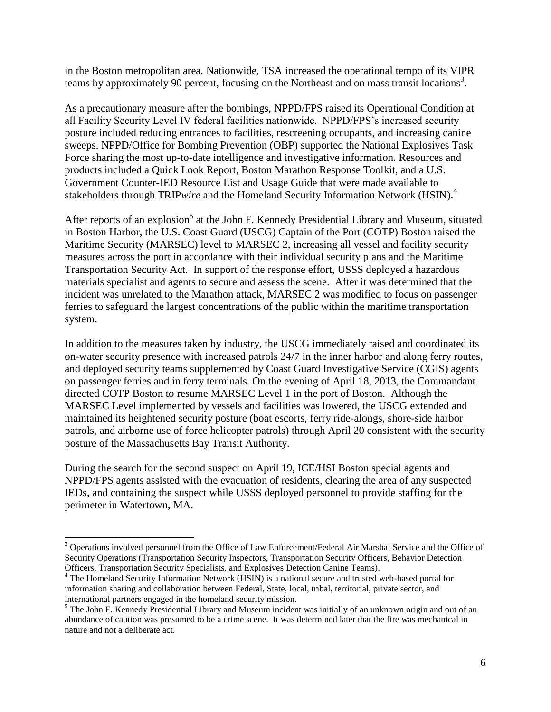in the Boston metropolitan area. Nationwide, TSA increased the operational tempo of its VIPR teams by approximately 90 percent, focusing on the Northeast and on mass transit locations<sup>3</sup>.

As a precautionary measure after the bombings, NPPD/FPS raised its Operational Condition at all Facility Security Level IV federal facilities nationwide. NPPD/FPS's increased security posture included reducing entrances to facilities, rescreening occupants, and increasing canine sweeps. NPPD/Office for Bombing Prevention (OBP) supported the National Explosives Task Force sharing the most up-to-date intelligence and investigative information. Resources and products included a Quick Look Report, Boston Marathon Response Toolkit, and a U.S. Government Counter-IED Resource List and Usage Guide that were made available to stakeholders through TRIP*wire* and the Homeland Security Information Network (HSIN).<sup>4</sup>

After reports of an explosion<sup>5</sup> at the John F. Kennedy Presidential Library and Museum, situated in Boston Harbor, the U.S. Coast Guard (USCG) Captain of the Port (COTP) Boston raised the Maritime Security (MARSEC) level to MARSEC 2, increasing all vessel and facility security measures across the port in accordance with their individual security plans and the Maritime Transportation Security Act. In support of the response effort, USSS deployed a hazardous materials specialist and agents to secure and assess the scene. After it was determined that the incident was unrelated to the Marathon attack, MARSEC 2 was modified to focus on passenger ferries to safeguard the largest concentrations of the public within the maritime transportation system.

In addition to the measures taken by industry, the USCG immediately raised and coordinated its on-water security presence with increased patrols 24/7 in the inner harbor and along ferry routes, and deployed security teams supplemented by Coast Guard Investigative Service (CGIS) agents on passenger ferries and in ferry terminals. On the evening of April 18, 2013, the Commandant directed COTP Boston to resume MARSEC Level 1 in the port of Boston. Although the MARSEC Level implemented by vessels and facilities was lowered, the USCG extended and maintained its heightened security posture (boat escorts, ferry ride-alongs, shore-side harbor patrols, and airborne use of force helicopter patrols) through April 20 consistent with the security posture of the Massachusetts Bay Transit Authority.

During the search for the second suspect on April 19, ICE/HSI Boston special agents and NPPD/FPS agents assisted with the evacuation of residents, clearing the area of any suspected IEDs, and containing the suspect while USSS deployed personnel to provide staffing for the perimeter in Watertown, MA.

 $\overline{\phantom{a}}$ 

<sup>&</sup>lt;sup>3</sup> Operations involved personnel from the Office of Law Enforcement/Federal Air Marshal Service and the Office of Security Operations (Transportation Security Inspectors, Transportation Security Officers, Behavior Detection Officers, Transportation Security Specialists, and Explosives Detection Canine Teams).

<sup>&</sup>lt;sup>4</sup> The Homeland Security Information Network (HSIN) is a national secure and trusted web-based portal for information sharing and collaboration between Federal, State, local, tribal, territorial, private sector, and international partners engaged in the homeland security mission.

<sup>&</sup>lt;sup>5</sup> The John F. Kennedy Presidential Library and Museum incident was initially of an unknown origin and out of an abundance of caution was presumed to be a crime scene. It was determined later that the fire was mechanical in nature and not a deliberate act.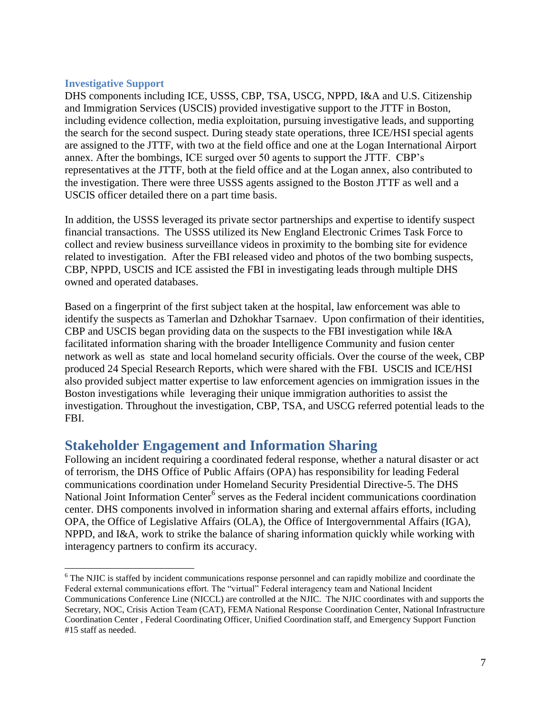## **Investigative Support**

 $\overline{\phantom{a}}$ 

DHS components including ICE, USSS, CBP, TSA, USCG, NPPD, I&A and U.S. Citizenship and Immigration Services (USCIS) provided investigative support to the JTTF in Boston, including evidence collection, media exploitation, pursuing investigative leads, and supporting the search for the second suspect. During steady state operations, three ICE/HSI special agents are assigned to the JTTF, with two at the field office and one at the Logan International Airport annex. After the bombings, ICE surged over 50 agents to support the JTTF. CBP's representatives at the JTTF, both at the field office and at the Logan annex, also contributed to the investigation. There were three USSS agents assigned to the Boston JTTF as well and a USCIS officer detailed there on a part time basis.

In addition, the USSS leveraged its private sector partnerships and expertise to identify suspect financial transactions. The USSS utilized its New England Electronic Crimes Task Force to collect and review business surveillance videos in proximity to the bombing site for evidence related to investigation. After the FBI released video and photos of the two bombing suspects, CBP, NPPD, USCIS and ICE assisted the FBI in investigating leads through multiple DHS owned and operated databases.

Based on a fingerprint of the first subject taken at the hospital, law enforcement was able to identify the suspects as Tamerlan and Dzhokhar Tsarnaev. Upon confirmation of their identities, CBP and USCIS began providing data on the suspects to the FBI investigation while I&A facilitated information sharing with the broader Intelligence Community and fusion center network as well as state and local homeland security officials. Over the course of the week, CBP produced 24 Special Research Reports, which were shared with the FBI. USCIS and ICE/HSI also provided subject matter expertise to law enforcement agencies on immigration issues in the Boston investigations while leveraging their unique immigration authorities to assist the investigation. Throughout the investigation, CBP, TSA, and USCG referred potential leads to the FBI.

# **Stakeholder Engagement and Information Sharing**

Following an incident requiring a coordinated federal response, whether a natural disaster or act of terrorism, the DHS Office of Public Affairs (OPA) has responsibility for leading Federal communications coordination under Homeland Security Presidential Directive-5. The DHS National Joint Information Center<sup>6</sup> serves as the Federal incident communications coordination center. DHS components involved in information sharing and external affairs efforts, including OPA, the Office of Legislative Affairs (OLA), the Office of Intergovernmental Affairs (IGA), NPPD, and I&A, work to strike the balance of sharing information quickly while working with interagency partners to confirm its accuracy.

<sup>&</sup>lt;sup>6</sup> The NJIC is staffed by incident communications response personnel and can rapidly mobilize and coordinate the Federal external communications effort. The "virtual" Federal interagency team and National Incident Communications Conference Line (NICCL) are controlled at the NJIC. The NJIC coordinates with and supports the Secretary, NOC, Crisis Action Team (CAT), FEMA National Response Coordination Center, National Infrastructure Coordination Center , Federal Coordinating Officer, Unified Coordination staff, and Emergency Support Function #15 staff as needed.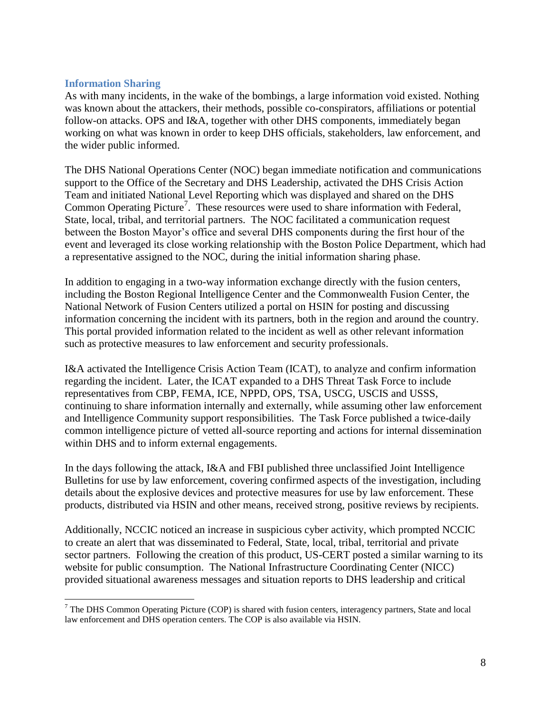## **Information Sharing**

As with many incidents, in the wake of the bombings, a large information void existed. Nothing was known about the attackers, their methods, possible co-conspirators, affiliations or potential follow-on attacks. OPS and I&A, together with other DHS components, immediately began working on what was known in order to keep DHS officials, stakeholders, law enforcement, and the wider public informed.

The DHS National Operations Center (NOC) began immediate notification and communications support to the Office of the Secretary and DHS Leadership, activated the DHS Crisis Action Team and initiated National Level Reporting which was displayed and shared on the DHS Common Operating Picture<sup>7</sup>. These resources were used to share information with Federal, State, local, tribal, and territorial partners. The NOC facilitated a communication request between the Boston Mayor's office and several DHS components during the first hour of the event and leveraged its close working relationship with the Boston Police Department, which had a representative assigned to the NOC, during the initial information sharing phase.

In addition to engaging in a two-way information exchange directly with the fusion centers, including the Boston Regional Intelligence Center and the Commonwealth Fusion Center, the National Network of Fusion Centers utilized a portal on HSIN for posting and discussing information concerning the incident with its partners, both in the region and around the country. This portal provided information related to the incident as well as other relevant information such as protective measures to law enforcement and security professionals.

I&A activated the Intelligence Crisis Action Team (ICAT), to analyze and confirm information regarding the incident. Later, the ICAT expanded to a DHS Threat Task Force to include representatives from CBP, FEMA, ICE, NPPD, OPS, TSA, USCG, USCIS and USSS, continuing to share information internally and externally, while assuming other law enforcement and Intelligence Community support responsibilities. The Task Force published a twice-daily common intelligence picture of vetted all-source reporting and actions for internal dissemination within DHS and to inform external engagements.

In the days following the attack, I&A and FBI published three unclassified Joint Intelligence Bulletins for use by law enforcement, covering confirmed aspects of the investigation, including details about the explosive devices and protective measures for use by law enforcement. These products, distributed via HSIN and other means, received strong, positive reviews by recipients.

Additionally, NCCIC noticed an increase in suspicious cyber activity, which prompted NCCIC to create an alert that was disseminated to Federal, State, local, tribal, territorial and private sector partners. Following the creation of this product, US-CERT posted a similar warning to its website for public consumption. The National Infrastructure Coordinating Center (NICC) provided situational awareness messages and situation reports to DHS leadership and critical

 $\overline{\phantom{a}}$  $<sup>7</sup>$  The DHS Common Operating Picture (COP) is shared with fusion centers, interagency partners, State and local</sup> law enforcement and DHS operation centers. The COP is also available via HSIN.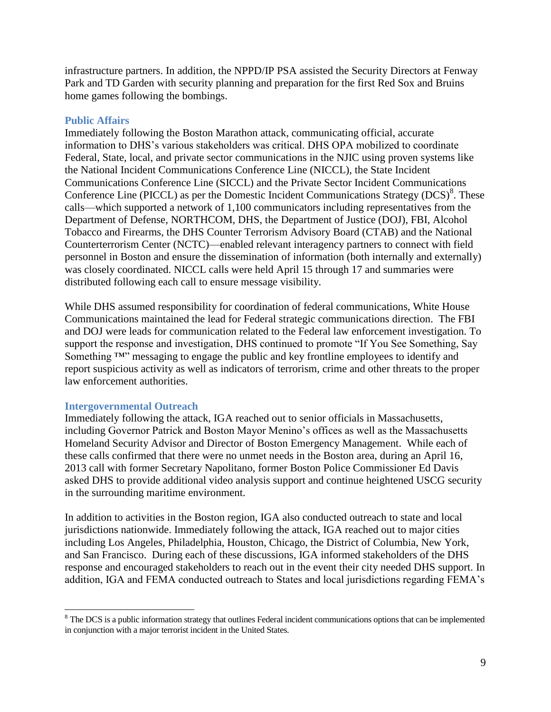infrastructure partners. In addition, the NPPD/IP PSA assisted the Security Directors at Fenway Park and TD Garden with security planning and preparation for the first Red Sox and Bruins home games following the bombings.

#### **Public Affairs**

Immediately following the Boston Marathon attack, communicating official, accurate information to DHS's various stakeholders was critical. DHS OPA mobilized to coordinate Federal, State, local, and private sector communications in the NJIC using proven systems like the National Incident Communications Conference Line (NICCL), the State Incident Communications Conference Line (SICCL) and the Private Sector Incident Communications Conference Line (PICCL) as per the Domestic Incident Communications Strategy  $(DCS)^8$ . These calls—which supported a network of 1,100 communicators including representatives from the Department of Defense, NORTHCOM, DHS, the Department of Justice (DOJ), FBI, Alcohol Tobacco and Firearms, the DHS Counter Terrorism Advisory Board (CTAB) and the National Counterterrorism Center (NCTC)—enabled relevant interagency partners to connect with field personnel in Boston and ensure the dissemination of information (both internally and externally) was closely coordinated. NICCL calls were held April 15 through 17 and summaries were distributed following each call to ensure message visibility.

While DHS assumed responsibility for coordination of federal communications, White House Communications maintained the lead for Federal strategic communications direction. The FBI and DOJ were leads for communication related to the Federal law enforcement investigation. To support the response and investigation, DHS continued to promote "If You See Something, Say Something <sup>™</sup> messaging to engage the public and key frontline employees to identify and report suspicious activity as well as indicators of terrorism, crime and other threats to the proper law enforcement authorities.

#### **Intergovernmental Outreach**

l

Immediately following the attack, IGA reached out to senior officials in Massachusetts, including Governor Patrick and Boston Mayor Menino's offices as well as the Massachusetts Homeland Security Advisor and Director of Boston Emergency Management. While each of these calls confirmed that there were no unmet needs in the Boston area, during an April 16, 2013 call with former Secretary Napolitano, former Boston Police Commissioner Ed Davis asked DHS to provide additional video analysis support and continue heightened USCG security in the surrounding maritime environment.

In addition to activities in the Boston region, IGA also conducted outreach to state and local jurisdictions nationwide. Immediately following the attack, IGA reached out to major cities including Los Angeles, Philadelphia, Houston, Chicago, the District of Columbia, New York, and San Francisco. During each of these discussions, IGA informed stakeholders of the DHS response and encouraged stakeholders to reach out in the event their city needed DHS support. In addition, IGA and FEMA conducted outreach to States and local jurisdictions regarding FEMA's

 $8$  The DCS is a public information strategy that outlines Federal incident communications options that can be implemented in conjunction with a major terrorist incident in the United States.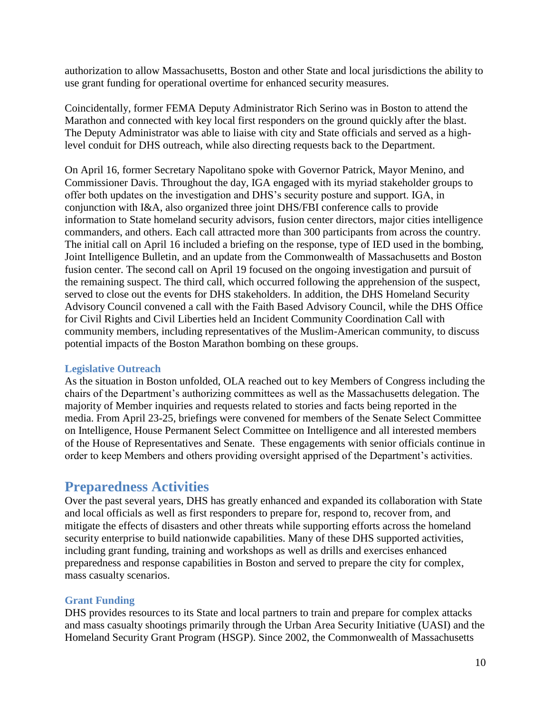authorization to allow Massachusetts, Boston and other State and local jurisdictions the ability to use grant funding for operational overtime for enhanced security measures.

Coincidentally, former FEMA Deputy Administrator Rich Serino was in Boston to attend the Marathon and connected with key local first responders on the ground quickly after the blast. The Deputy Administrator was able to liaise with city and State officials and served as a highlevel conduit for DHS outreach, while also directing requests back to the Department.

On April 16, former Secretary Napolitano spoke with Governor Patrick, Mayor Menino, and Commissioner Davis. Throughout the day, IGA engaged with its myriad stakeholder groups to offer both updates on the investigation and DHS's security posture and support. IGA, in conjunction with I&A, also organized three joint DHS/FBI conference calls to provide information to State homeland security advisors, fusion center directors, major cities intelligence commanders, and others. Each call attracted more than 300 participants from across the country. The initial call on April 16 included a briefing on the response, type of IED used in the bombing, Joint Intelligence Bulletin, and an update from the Commonwealth of Massachusetts and Boston fusion center. The second call on April 19 focused on the ongoing investigation and pursuit of the remaining suspect. The third call, which occurred following the apprehension of the suspect, served to close out the events for DHS stakeholders. In addition, the DHS Homeland Security Advisory Council convened a call with the Faith Based Advisory Council, while the DHS Office for Civil Rights and Civil Liberties held an Incident Community Coordination Call with community members, including representatives of the Muslim-American community, to discuss potential impacts of the Boston Marathon bombing on these groups.

## **Legislative Outreach**

As the situation in Boston unfolded, OLA reached out to key Members of Congress including the chairs of the Department's authorizing committees as well as the Massachusetts delegation. The majority of Member inquiries and requests related to stories and facts being reported in the media. From April 23-25, briefings were convened for members of the Senate Select Committee on Intelligence, House Permanent Select Committee on Intelligence and all interested members of the House of Representatives and Senate. These engagements with senior officials continue in order to keep Members and others providing oversight apprised of the Department's activities.

# **Preparedness Activities**

Over the past several years, DHS has greatly enhanced and expanded its collaboration with State and local officials as well as first responders to prepare for, respond to, recover from, and mitigate the effects of disasters and other threats while supporting efforts across the homeland security enterprise to build nationwide capabilities. Many of these DHS supported activities, including grant funding, training and workshops as well as drills and exercises enhanced preparedness and response capabilities in Boston and served to prepare the city for complex, mass casualty scenarios.

## **Grant Funding**

DHS provides resources to its State and local partners to train and prepare for complex attacks and mass casualty shootings primarily through the Urban Area Security Initiative (UASI) and the Homeland Security Grant Program (HSGP). Since 2002, the Commonwealth of Massachusetts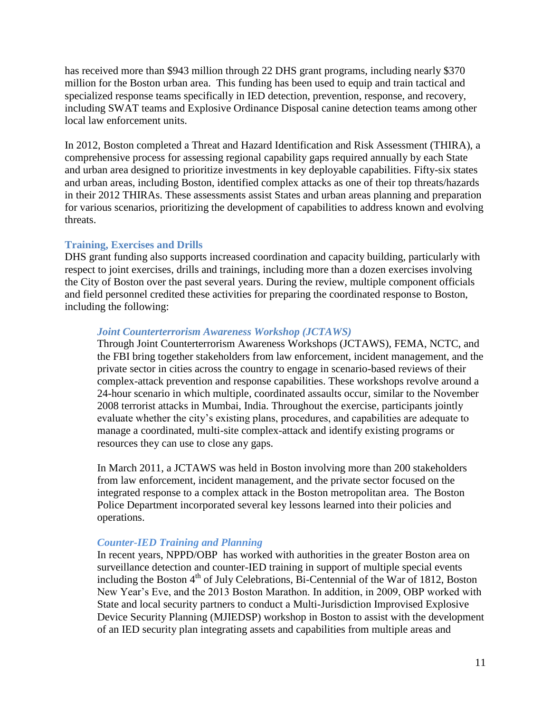has received more than \$943 million through 22 DHS grant programs, including nearly \$370 million for the Boston urban area. This funding has been used to equip and train tactical and specialized response teams specifically in IED detection, prevention, response, and recovery, including SWAT teams and Explosive Ordinance Disposal canine detection teams among other local law enforcement units.

In 2012, Boston completed a Threat and Hazard Identification and Risk Assessment (THIRA), a comprehensive process for assessing regional capability gaps required annually by each State and urban area designed to prioritize investments in key deployable capabilities. Fifty-six states and urban areas, including Boston, identified complex attacks as one of their top threats/hazards in their 2012 THIRAs. These assessments assist States and urban areas planning and preparation for various scenarios, prioritizing the development of capabilities to address known and evolving threats.

## **Training, Exercises and Drills**

DHS grant funding also supports increased coordination and capacity building, particularly with respect to joint exercises, drills and trainings, including more than a dozen exercises involving the City of Boston over the past several years. During the review, multiple component officials and field personnel credited these activities for preparing the coordinated response to Boston, including the following:

### *Joint Counterterrorism Awareness Workshop (JCTAWS)*

Through Joint Counterterrorism Awareness Workshops (JCTAWS), FEMA, NCTC, and the FBI bring together stakeholders from law enforcement, incident management, and the private sector in cities across the country to engage in scenario-based reviews of their complex-attack prevention and response capabilities. These workshops revolve around a 24-hour scenario in which multiple, coordinated assaults occur, similar to the November 2008 terrorist attacks in Mumbai, India. Throughout the exercise, participants jointly evaluate whether the city's existing plans, procedures, and capabilities are adequate to manage a coordinated, multi-site complex-attack and identify existing programs or resources they can use to close any gaps.

In March 2011, a JCTAWS was held in Boston involving more than 200 stakeholders from law enforcement, incident management, and the private sector focused on the integrated response to a complex attack in the Boston metropolitan area. The Boston Police Department incorporated several key lessons learned into their policies and operations.

## *Counter-IED Training and Planning*

In recent years, NPPD/OBP has worked with authorities in the greater Boston area on surveillance detection and counter-IED training in support of multiple special events including the Boston  $4<sup>th</sup>$  of July Celebrations, Bi-Centennial of the War of 1812, Boston New Year's Eve, and the 2013 Boston Marathon. In addition, in 2009, OBP worked with State and local security partners to conduct a Multi-Jurisdiction Improvised Explosive Device Security Planning (MJIEDSP) workshop in Boston to assist with the development of an IED security plan integrating assets and capabilities from multiple areas and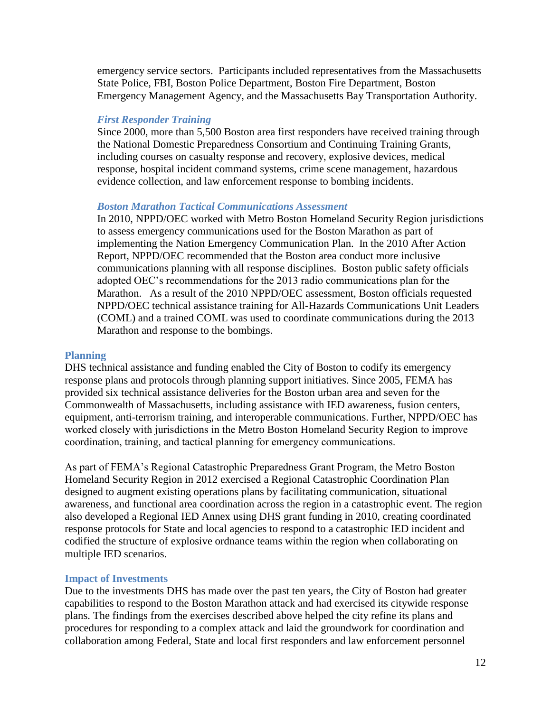emergency service sectors. Participants included representatives from the Massachusetts State Police, FBI, Boston Police Department, Boston Fire Department, Boston Emergency Management Agency, and the Massachusetts Bay Transportation Authority.

#### *First Responder Training*

Since 2000, more than 5,500 Boston area first responders have received training through the National Domestic Preparedness Consortium and Continuing Training Grants, including courses on casualty response and recovery, explosive devices, medical response, hospital incident command systems, crime scene management, hazardous evidence collection, and law enforcement response to bombing incidents.

### *Boston Marathon Tactical Communications Assessment*

In 2010, NPPD/OEC worked with Metro Boston Homeland Security Region jurisdictions to assess emergency communications used for the Boston Marathon as part of implementing the Nation Emergency Communication Plan. In the 2010 After Action Report, NPPD/OEC recommended that the Boston area conduct more inclusive communications planning with all response disciplines. Boston public safety officials adopted OEC's recommendations for the 2013 radio communications plan for the Marathon. As a result of the 2010 NPPD/OEC assessment, Boston officials requested NPPD/OEC technical assistance training for All-Hazards Communications Unit Leaders (COML) and a trained COML was used to coordinate communications during the 2013 Marathon and response to the bombings.

#### **Planning**

DHS technical assistance and funding enabled the City of Boston to codify its emergency response plans and protocols through planning support initiatives. Since 2005, FEMA has provided six technical assistance deliveries for the Boston urban area and seven for the Commonwealth of Massachusetts, including assistance with IED awareness, fusion centers, equipment, anti-terrorism training, and interoperable communications. Further, NPPD/OEC has worked closely with jurisdictions in the Metro Boston Homeland Security Region to improve coordination, training, and tactical planning for emergency communications.

As part of FEMA's Regional Catastrophic Preparedness Grant Program, the Metro Boston Homeland Security Region in 2012 exercised a Regional Catastrophic Coordination Plan designed to augment existing operations plans by facilitating communication, situational awareness, and functional area coordination across the region in a catastrophic event. The region also developed a Regional IED Annex using DHS grant funding in 2010, creating coordinated response protocols for State and local agencies to respond to a catastrophic IED incident and codified the structure of explosive ordnance teams within the region when collaborating on multiple IED scenarios.

#### **Impact of Investments**

Due to the investments DHS has made over the past ten years, the City of Boston had greater capabilities to respond to the Boston Marathon attack and had exercised its citywide response plans. The findings from the exercises described above helped the city refine its plans and procedures for responding to a complex attack and laid the groundwork for coordination and collaboration among Federal, State and local first responders and law enforcement personnel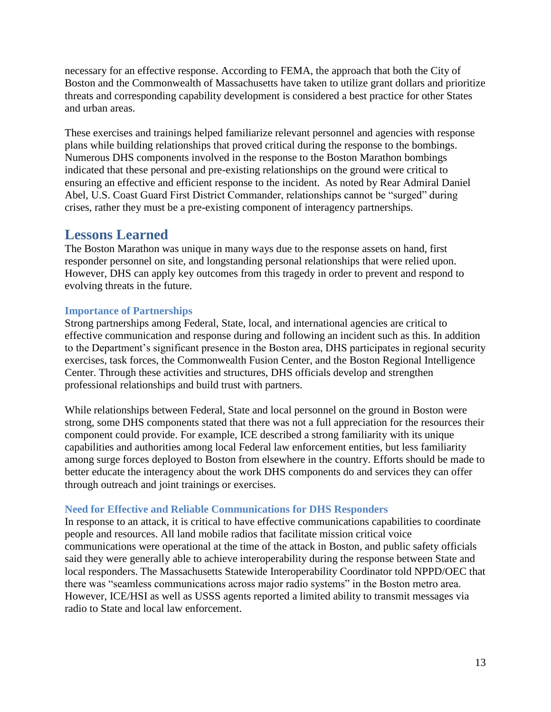necessary for an effective response. According to FEMA, the approach that both the City of Boston and the Commonwealth of Massachusetts have taken to utilize grant dollars and prioritize threats and corresponding capability development is considered a best practice for other States and urban areas.

These exercises and trainings helped familiarize relevant personnel and agencies with response plans while building relationships that proved critical during the response to the bombings. Numerous DHS components involved in the response to the Boston Marathon bombings indicated that these personal and pre-existing relationships on the ground were critical to ensuring an effective and efficient response to the incident. As noted by Rear Admiral Daniel Abel, U.S. Coast Guard First District Commander, relationships cannot be "surged" during crises, rather they must be a pre-existing component of interagency partnerships.

# **Lessons Learned**

The Boston Marathon was unique in many ways due to the response assets on hand, first responder personnel on site, and longstanding personal relationships that were relied upon. However, DHS can apply key outcomes from this tragedy in order to prevent and respond to evolving threats in the future.

# **Importance of Partnerships**

Strong partnerships among Federal, State, local, and international agencies are critical to effective communication and response during and following an incident such as this. In addition to the Department's significant presence in the Boston area, DHS participates in regional security exercises, task forces, the Commonwealth Fusion Center, and the Boston Regional Intelligence Center. Through these activities and structures, DHS officials develop and strengthen professional relationships and build trust with partners.

While relationships between Federal, State and local personnel on the ground in Boston were strong, some DHS components stated that there was not a full appreciation for the resources their component could provide. For example, ICE described a strong familiarity with its unique capabilities and authorities among local Federal law enforcement entities, but less familiarity among surge forces deployed to Boston from elsewhere in the country. Efforts should be made to better educate the interagency about the work DHS components do and services they can offer through outreach and joint trainings or exercises.

## **Need for Effective and Reliable Communications for DHS Responders**

In response to an attack, it is critical to have effective communications capabilities to coordinate people and resources. All land mobile radios that facilitate mission critical voice communications were operational at the time of the attack in Boston, and public safety officials said they were generally able to achieve interoperability during the response between State and local responders. The Massachusetts Statewide Interoperability Coordinator told NPPD/OEC that there was "seamless communications across major radio systems" in the Boston metro area. However, ICE/HSI as well as USSS agents reported a limited ability to transmit messages via radio to State and local law enforcement.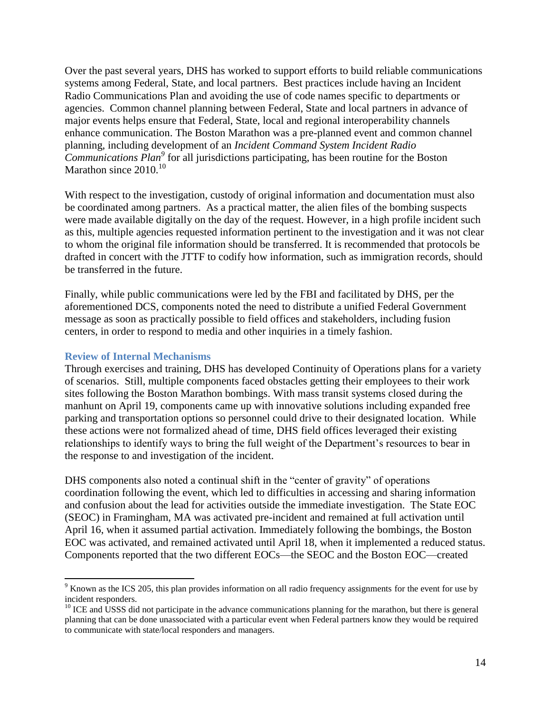Over the past several years, DHS has worked to support efforts to build reliable communications systems among Federal, State, and local partners. Best practices include having an Incident Radio Communications Plan and avoiding the use of code names specific to departments or agencies. Common channel planning between Federal, State and local partners in advance of major events helps ensure that Federal, State, local and regional interoperability channels enhance communication. The Boston Marathon was a pre-planned event and common channel planning, including development of an *Incident Command System Incident Radio Communications Plan<sup>9</sup>* for all jurisdictions participating, has been routine for the Boston Marathon since  $2010^{10}$ 

With respect to the investigation, custody of original information and documentation must also be coordinated among partners. As a practical matter, the alien files of the bombing suspects were made available digitally on the day of the request. However, in a high profile incident such as this, multiple agencies requested information pertinent to the investigation and it was not clear to whom the original file information should be transferred. It is recommended that protocols be drafted in concert with the JTTF to codify how information, such as immigration records, should be transferred in the future.

Finally, while public communications were led by the FBI and facilitated by DHS, per the aforementioned DCS, components noted the need to distribute a unified Federal Government message as soon as practically possible to field offices and stakeholders, including fusion centers, in order to respond to media and other inquiries in a timely fashion.

#### **Review of Internal Mechanisms**

 $\overline{a}$ 

Through exercises and training, DHS has developed Continuity of Operations plans for a variety of scenarios. Still, multiple components faced obstacles getting their employees to their work sites following the Boston Marathon bombings. With mass transit systems closed during the manhunt on April 19, components came up with innovative solutions including expanded free parking and transportation options so personnel could drive to their designated location. While these actions were not formalized ahead of time, DHS field offices leveraged their existing relationships to identify ways to bring the full weight of the Department's resources to bear in the response to and investigation of the incident.

DHS components also noted a continual shift in the "center of gravity" of operations coordination following the event, which led to difficulties in accessing and sharing information and confusion about the lead for activities outside the immediate investigation. The State EOC (SEOC) in Framingham, MA was activated pre-incident and remained at full activation until April 16, when it assumed partial activation. Immediately following the bombings, the Boston EOC was activated, and remained activated until April 18, when it implemented a reduced status. Components reported that the two different EOCs—the SEOC and the Boston EOC—created

<sup>&</sup>lt;sup>9</sup> Known as the ICS 205, this plan provides information on all radio frequency assignments for the event for use by incident responders.

 $10$  ICE and USSS did not participate in the advance communications planning for the marathon, but there is general planning that can be done unassociated with a particular event when Federal partners know they would be required to communicate with state/local responders and managers.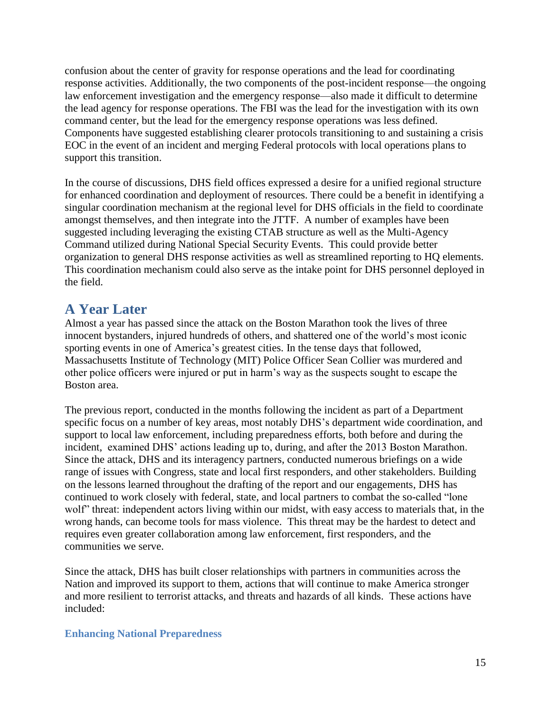confusion about the center of gravity for response operations and the lead for coordinating response activities. Additionally, the two components of the post-incident response—the ongoing law enforcement investigation and the emergency response—also made it difficult to determine the lead agency for response operations. The FBI was the lead for the investigation with its own command center, but the lead for the emergency response operations was less defined. Components have suggested establishing clearer protocols transitioning to and sustaining a crisis EOC in the event of an incident and merging Federal protocols with local operations plans to support this transition.

In the course of discussions, DHS field offices expressed a desire for a unified regional structure for enhanced coordination and deployment of resources. There could be a benefit in identifying a singular coordination mechanism at the regional level for DHS officials in the field to coordinate amongst themselves, and then integrate into the JTTF. A number of examples have been suggested including leveraging the existing CTAB structure as well as the Multi-Agency Command utilized during National Special Security Events. This could provide better organization to general DHS response activities as well as streamlined reporting to HQ elements. This coordination mechanism could also serve as the intake point for DHS personnel deployed in the field.

# **A Year Later**

Almost a year has passed since the attack on the Boston Marathon took the lives of three innocent bystanders, injured hundreds of others, and shattered one of the world's most iconic sporting events in one of America's greatest cities. In the tense days that followed, Massachusetts Institute of Technology (MIT) Police Officer Sean Collier was murdered and other police officers were injured or put in harm's way as the suspects sought to escape the Boston area.

The previous report, conducted in the months following the incident as part of a Department specific focus on a number of key areas, most notably DHS's department wide coordination, and support to local law enforcement, including preparedness efforts, both before and during the incident, examined DHS' actions leading up to, during, and after the 2013 Boston Marathon. Since the attack, DHS and its interagency partners, conducted numerous briefings on a wide range of issues with Congress, state and local first responders, and other stakeholders. Building on the lessons learned throughout the drafting of the report and our engagements, DHS has continued to work closely with federal, state, and local partners to combat the so-called "lone wolf" threat: independent actors living within our midst, with easy access to materials that, in the wrong hands, can become tools for mass violence. This threat may be the hardest to detect and requires even greater collaboration among law enforcement, first responders, and the communities we serve.

Since the attack, DHS has built closer relationships with partners in communities across the Nation and improved its support to them, actions that will continue to make America stronger and more resilient to terrorist attacks, and threats and hazards of all kinds. These actions have included:

## **Enhancing National Preparedness**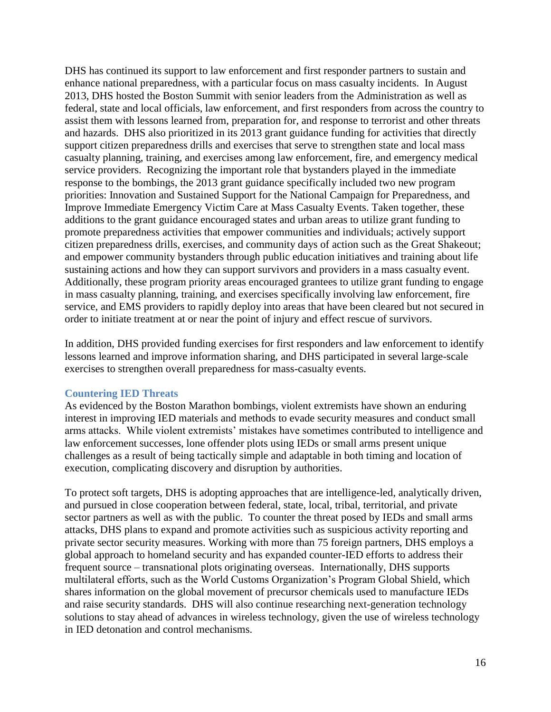DHS has continued its support to law enforcement and first responder partners to sustain and enhance national preparedness, with a particular focus on mass casualty incidents. In August 2013, DHS hosted the Boston Summit with senior leaders from the Administration as well as federal, state and local officials, law enforcement, and first responders from across the country to assist them with lessons learned from, preparation for, and response to terrorist and other threats and hazards. DHS also prioritized in its 2013 grant guidance funding for activities that directly support citizen preparedness drills and exercises that serve to strengthen state and local mass casualty planning, training, and exercises among law enforcement, fire, and emergency medical service providers. Recognizing the important role that bystanders played in the immediate response to the bombings, the 2013 grant guidance specifically included two new program priorities: Innovation and Sustained Support for the National Campaign for Preparedness, and Improve Immediate Emergency Victim Care at Mass Casualty Events. Taken together, these additions to the grant guidance encouraged states and urban areas to utilize grant funding to promote preparedness activities that empower communities and individuals; actively support citizen preparedness drills, exercises, and community days of action such as the Great Shakeout; and empower community bystanders through public education initiatives and training about life sustaining actions and how they can support survivors and providers in a mass casualty event. Additionally, these program priority areas encouraged grantees to utilize grant funding to engage in mass casualty planning, training, and exercises specifically involving law enforcement, fire service, and EMS providers to rapidly deploy into areas that have been cleared but not secured in order to initiate treatment at or near the point of injury and effect rescue of survivors.

In addition, DHS provided funding exercises for first responders and law enforcement to identify lessons learned and improve information sharing, and DHS participated in several large-scale exercises to strengthen overall preparedness for mass-casualty events.

### **Countering IED Threats**

As evidenced by the Boston Marathon bombings, violent extremists have shown an enduring interest in improving IED materials and methods to evade security measures and conduct small arms attacks. While violent extremists' mistakes have sometimes contributed to intelligence and law enforcement successes, lone offender plots using IEDs or small arms present unique challenges as a result of being tactically simple and adaptable in both timing and location of execution, complicating discovery and disruption by authorities.

To protect soft targets, DHS is adopting approaches that are intelligence-led, analytically driven, and pursued in close cooperation between federal, state, local, tribal, territorial, and private sector partners as well as with the public. To counter the threat posed by IEDs and small arms attacks, DHS plans to expand and promote activities such as suspicious activity reporting and private sector security measures. Working with more than 75 foreign partners, DHS employs a global approach to homeland security and has expanded counter-IED efforts to address their frequent source – transnational plots originating overseas. Internationally, DHS supports multilateral efforts, such as the World Customs Organization's Program Global Shield, which shares information on the global movement of precursor chemicals used to manufacture IEDs and raise security standards. DHS will also continue researching next-generation technology solutions to stay ahead of advances in wireless technology, given the use of wireless technology in IED detonation and control mechanisms.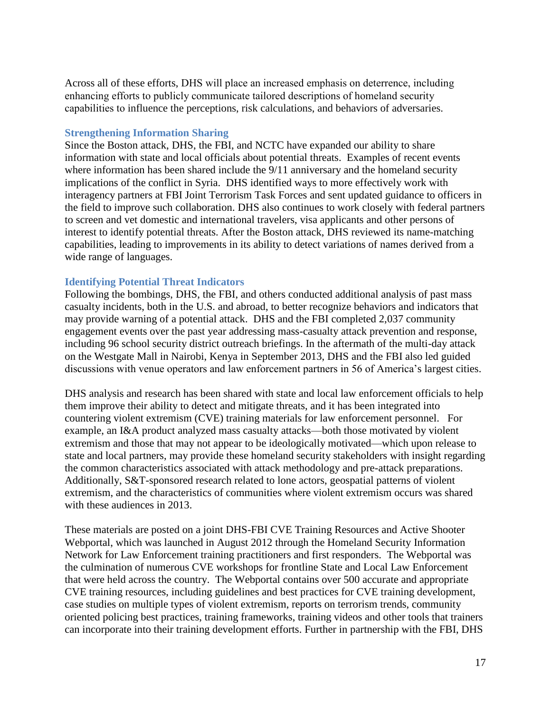Across all of these efforts, DHS will place an increased emphasis on deterrence, including enhancing efforts to publicly communicate tailored descriptions of homeland security capabilities to influence the perceptions, risk calculations, and behaviors of adversaries.

### **Strengthening Information Sharing**

Since the Boston attack, DHS, the FBI, and NCTC have expanded our ability to share information with state and local officials about potential threats. Examples of recent events where information has been shared include the 9/11 anniversary and the homeland security implications of the conflict in Syria. DHS identified ways to more effectively work with interagency partners at FBI Joint Terrorism Task Forces and sent updated guidance to officers in the field to improve such collaboration. DHS also continues to work closely with federal partners to screen and vet domestic and international travelers, visa applicants and other persons of interest to identify potential threats. After the Boston attack, DHS reviewed its name-matching capabilities, leading to improvements in its ability to detect variations of names derived from a wide range of languages.

#### **Identifying Potential Threat Indicators**

Following the bombings, DHS, the FBI, and others conducted additional analysis of past mass casualty incidents, both in the U.S. and abroad, to better recognize behaviors and indicators that may provide warning of a potential attack. DHS and the FBI completed 2,037 community engagement events over the past year addressing mass-casualty attack prevention and response, including 96 school security district outreach briefings. In the aftermath of the multi-day attack on the Westgate Mall in Nairobi, Kenya in September 2013, DHS and the FBI also led guided discussions with venue operators and law enforcement partners in 56 of America's largest cities.

DHS analysis and research has been shared with state and local law enforcement officials to help them improve their ability to detect and mitigate threats, and it has been integrated into countering violent extremism (CVE) training materials for law enforcement personnel. For example, an I&A product analyzed mass casualty attacks—both those motivated by violent extremism and those that may not appear to be ideologically motivated—which upon release to state and local partners, may provide these homeland security stakeholders with insight regarding the common characteristics associated with attack methodology and pre-attack preparations. Additionally, S&T-sponsored research related to lone actors, geospatial patterns of violent extremism, and the characteristics of communities where violent extremism occurs was shared with these audiences in 2013.

These materials are posted on a joint DHS-FBI CVE Training Resources and Active Shooter Webportal, which was launched in August 2012 through the Homeland Security Information Network for Law Enforcement training practitioners and first responders. The Webportal was the culmination of numerous CVE workshops for frontline State and Local Law Enforcement that were held across the country. The Webportal contains over 500 accurate and appropriate CVE training resources, including guidelines and best practices for CVE training development, case studies on multiple types of violent extremism, reports on terrorism trends, community oriented policing best practices, training frameworks, training videos and other tools that trainers can incorporate into their training development efforts. Further in partnership with the FBI, DHS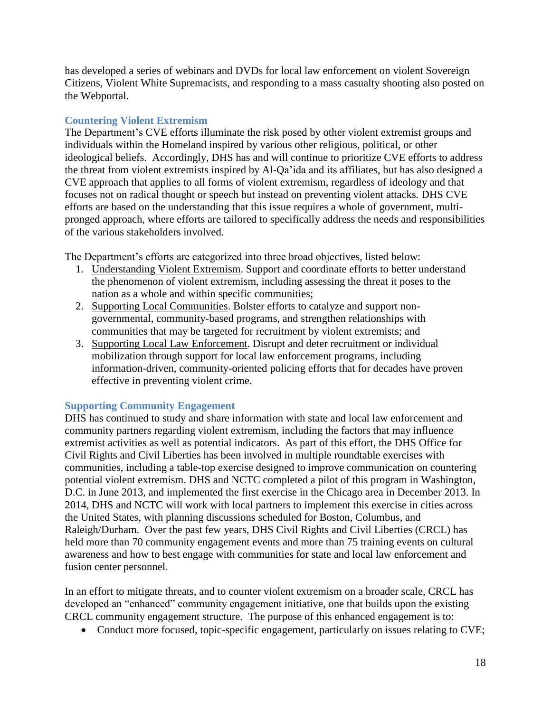has developed a series of webinars and DVDs for local law enforcement on violent Sovereign Citizens, Violent White Supremacists, and responding to a mass casualty shooting also posted on the Webportal.

## **Countering Violent Extremism**

The Department's CVE efforts illuminate the risk posed by other violent extremist groups and individuals within the Homeland inspired by various other religious, political, or other ideological beliefs. Accordingly, DHS has and will continue to prioritize CVE efforts to address the threat from violent extremists inspired by Al-Qa'ida and its affiliates, but has also designed a CVE approach that applies to all forms of violent extremism, regardless of ideology and that focuses not on radical thought or speech but instead on preventing violent attacks. DHS CVE efforts are based on the understanding that this issue requires a whole of government, multipronged approach, where efforts are tailored to specifically address the needs and responsibilities of the various stakeholders involved.

The Department's efforts are categorized into three broad objectives, listed below:

- 1. Understanding Violent Extremism. Support and coordinate efforts to better understand the phenomenon of violent extremism, including assessing the threat it poses to the nation as a whole and within specific communities;
- 2. Supporting Local Communities. Bolster efforts to catalyze and support nongovernmental, community-based programs, and strengthen relationships with communities that may be targeted for recruitment by violent extremists; and
- 3. Supporting Local Law Enforcement. Disrupt and deter recruitment or individual mobilization through support for local law enforcement programs, including information-driven, community-oriented policing efforts that for decades have proven effective in preventing violent crime.

## **Supporting Community Engagement**

DHS has continued to study and share information with state and local law enforcement and community partners regarding violent extremism, including the factors that may influence extremist activities as well as potential indicators. As part of this effort, the DHS Office for Civil Rights and Civil Liberties has been involved in multiple roundtable exercises with communities, including a table-top exercise designed to improve communication on countering potential violent extremism. DHS and NCTC completed a pilot of this program in Washington, D.C. in June 2013, and implemented the first exercise in the Chicago area in December 2013. In 2014, DHS and NCTC will work with local partners to implement this exercise in cities across the United States, with planning discussions scheduled for Boston, Columbus, and Raleigh/Durham. Over the past few years, DHS Civil Rights and Civil Liberties (CRCL) has held more than 70 community engagement events and more than 75 training events on cultural awareness and how to best engage with communities for state and local law enforcement and fusion center personnel.

In an effort to mitigate threats, and to counter violent extremism on a broader scale, CRCL has developed an "enhanced" community engagement initiative, one that builds upon the existing CRCL community engagement structure. The purpose of this enhanced engagement is to:

• Conduct more focused, topic-specific engagement, particularly on issues relating to CVE;